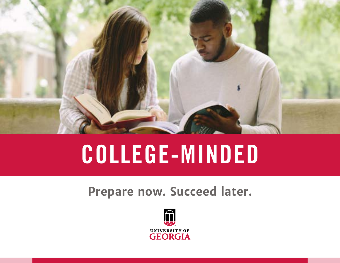

# COLLEGE-MINDED

## **Prepare now. Succeed later.**

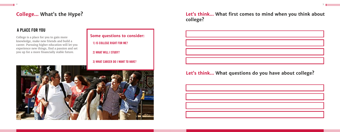1) IS COLLEGE RIGHT FOR ME? College is a place for you to gain more **Some questions to consider:** 2) WHAT WILL I STUDY?

knowledge, make new friends and build a career. Pursuing higher education will let you experience new things, find a passion and set you up for a more financially stable future.

## **College... What's the Hype?**

### A PLACE FOR YOU

3) WHAT CAREER DO I WANT TO HAVE?



### **Let's think... What first comes to mind when you think about college?**



## **Let's think... What questions do you have about college?**

| <u> 1989 - Johann Stoff, deutscher Stoffen und der Stoffen und der Stoffen und der Stoffen und der Stoffen und der</u> |  |  |
|------------------------------------------------------------------------------------------------------------------------|--|--|
| <u> 1989 - Johann Stoff, deutscher Stoffen und der Stoffen und der Stoffen und der Stoffen und der Stoffen und d</u>   |  |  |
| <u> 1989 - Jan Samuel Barbara, marka a shekara ta 1989 - An tsara tsara tsara tsara tsara tsara tsara tsara tsar</u>   |  |  |
|                                                                                                                        |  |  |
| <u> 1989 - Johann Stein, marwolaethau a bhann an t-Amhain an t-Amhain an t-Amhain an t-Amhain an t-Amhain an t-A</u>   |  |  |
| <u> 1989 - Jan Samuel Barbara, marka a shekara ta 1989 - An tsara tsara tsara tsara tsara tsara tsara tsara tsar</u>   |  |  |
| <u> 1989 - Andrea Santa Andrea Andrea Andrea Andrea Andrea Andrea Andrea Andrea Andrea Andrea Andrea Andrea Andr</u>   |  |  |
| <u> 1989 - Johann Stein, marwolaethau a bhannaich an t-</u>                                                            |  |  |
|                                                                                                                        |  |  |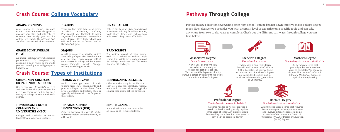Also known as college entrance exams, these are tests designed to measure your skills and help colleges evaluate how ready you are for college-level work. The ACT and SAT are two standardized admission tests.

#### **ADMISSION TESTS**

There are five main types of degrees: Associate's, Bachelor's, Master's, Professional and Doctoral. It takes anywhere from 2-6 years to complete each degree. After high school you will work toward an Associate's or Bachelor's degree.

### **DEGREES**

A number that shows overall academic performance. It's computed by assigning a point value to the grade you earn. Good grades will give you a higher GPA!

#### **GRADE POINT AVERAGE (GPA)**

#### **COMMUNITY COLLEGES OR TECHNICAL SCHOOLS** Public schools get most of their

College can be expensive. Financial Aid is money to help pay for college. Grants, work-study, loans and scholarships help make college more affordable.

#### **FINANCIAL AID**

A college major is a specific subject area that you specialize in—there are a lot to choose from! Almost half of your courses in college will be in your major. Examples include Biology, History, Marketing or Music.

#### **MAJORS**

The official record of your course work at a school or college. High school transcripts are usually required for college admission and for some financial aid packages.

### **TRANSCRIPTS**

Offers two-year Associate's degrees and certificates that prepare you for a certain career or to transfer to a four-year college to earn a Bachelor's degree.

funding from state governments and private colleges receive theirs from private donations and tuition. There is typically a difference in cost for you as the student.

### **PUBLIC VS PRIVATE**

Colleges with a mission to educate Black/African-American students.

**HISTORICALLY BLACK** 

**COLLEGES AND** 

**UNIVERSITIES (HBCU)**

Offer extensive study in the liberal arts such as languages, literature, history, math and the arts. They are typically smaller than public college campuses.

### **LIBERAL ARTS COLLEGES**

Colleges that have at least 25% of the full-time student body that identify as a Hispanic.

## **HISPANIC SERVING**

all-male or all-female students.

#### **SINGLE GENDER**

### **Crash Course: [Types of Institutions](https://bigfuture.collegeboard.org/find-colleges/college-101/types-of-colleges-the-basics)**

An advanced degree that generally takes two-to-three years to complete. You can earn degrees like a Master's of Arts in Film or a Master's of Science in Agricultural Engineering.



*Time to Complete: ~2-3 years after Master's*

### **Master's Degree**

Traditionally a four-year degree that will lead to a Bachelor's of Arts (B.A), a Bachelor's of Science (B.S.), or another type of Bachelor's degree in a particular discipline such as Business Administration, Journalism or Chemistry.



### *Time to Complete: ~4 years* **Bachelor's Degree**

A two-year degree typically earned at a community or vocational-technical college. You can use this degree to directly pursue a career or transfer those credits to obtain a Bachelor's degree.

#### *Time to Complete: ~2 years* **Associate's Degree**

A highly specialized degree that requires four or more years of study to complete and involves extensive research. Some examples of doctorates are Doctor of Philosophy (Ph.D.) or Doctor of Education (Ed.D.) degrees.

#### *Time to Complete: 4+ years after Master's* **Doctoral Degree**

A degree needed to work or practice a certain profession and typically requires three years of school. An example would be attending law school for three years to earn a J.D. to become a lawyer.

**INSTITUTIONS (HSI)** Private institutions that serve either





#### *Time to Complete: ~3 years after Bachelor's* **Professional Degree**

Postsecondary education (everything after high school) can be broken down into five major college degree types. Each degree type provides you with a certain level of expertise on a specific topic and can take anywhere from two to six years to complete. Check out the different pathways through college you can take below.

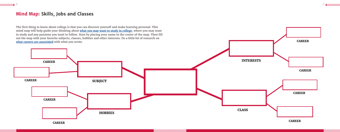### **Mind Map: Skills, Jobs and Classes**



 $\frac{1}{7}$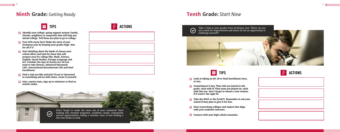

## **Ninth Grade:** *Getting Ready*

### TIPS  $\mathcal{F}$  actions

- **Look at taking an AP, IB or Dual Enrollment class, or two.**
- **Commitment is key: That club you joined in 9th grade, stick with it! That team you played on, stick with that too. Don't forget to choose a new venture if it wasn't the right fit.**
- **Take the PSAT or the PreACT. Remember to ask your school if they plan to give it for free.**
- $\Box$  Start researching colleges and majors that align **with your academic interests.**
- **□** Connect with your high school counselor.



## **Tenth Grade:** *Start Now*





TIPS

- **Identify your college-going support system: family, friends, neighbors or nonprofits that will help you attend college. Tell them you plan to go to college.**
- **Your GPA starts here! Make the most of your freshman year by keeping your grades high. Aim for all A's!**
- $\Box$  Start thinking about the kinds of classes your **school offers and look for those that will prepare your for college like: Math, Science, English, Social Studies, Foreign Language and Art. Consider the type of classes too: do you want to take Honors, Advanced Placement (AP), International Baccalaureate (IB) and Dual Enrollment.**
- **Find a club you like and join! If you're interested in something and no club exists, create it yourself.**
- $\Box$  Join a sports team, sign up to volunteer or find an **artistic outlet.**

8

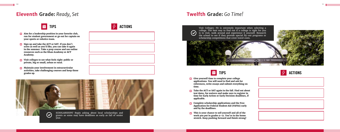



- **Aim for a leadership position in your favorite club,**  p **run for student government or go out for captain on your sports or robotics team.**
- **Sign up and take the ACT or SAT. If you don't score as well as you'd like, you can take it again in the summer. Take a prep course and use online resources such as the Khan Academy or ACT Academy.**
- **Visit colleges to see what feels right: public or**  p **private, big or small, urban or rural.**
- **Maintain your involvement in extracurricular**  p **activities, take challenging courses and keep those**

- **Give yourself time to complete your college**  p **applications. You will need to find and ask for references, write essays and submit everything on time.**
- **Take the ACT or SAT again in the fall. Find out about test dates, fee waivers and make sure to register in time for Early Action or Early Decision deadlines, if applicable.**
- **Complete scholarship applications and the Free Application for Federal Student Aid (FAFSA) early and by the deadlines.**
- **This is your chance to sell yourself and all of the work you put in grades 9-12. You're in the home stretch. Keep pushing forward and finish strong!**







scholarship competitions that cover travel costs.

## **Eleventh Grade:** *Ready, Set* **Twelfth Grade:** *Go Time!*

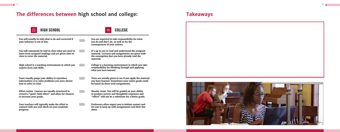## **The differences between high school and college: Takeaways**



HIGH SCHOOL

**You will commonly be told in class what you need to learn from assigned readings and are given time in** 

**class to cover the material.**

**High school is a teaching environment in which you** 

**acquire facts and skills.**

**Tests usually gauge your ability to reproduce information or to solve problems you were shown** 

**how to solve in class.**

**Effort counts. Courses are usually structured to reward a "good-faith effort" and allow for chances** 

**to increase your grade.**

**You will usually be told what to do and corrected if** 

**your behavior is out of line.**

**Your teachers will typically make the effort to connect with you and check on your academic** 

**progress.**

**responsibility for thinking through and applying what you have learned.**

**Tests are usually given to see if you apply the material you have learned. Sometimes your entire grade could be based on three total assignments.**

**Results count. You will be graded on your ability to produce correct and thoughtful responses and "effort" will not be a substitute for a better grade.**

COLLEGE  $\bigcirc$ **You are expected to take responsibility for what you do and don't do, as well as for the consequences of your actions. It's up to you to read and understand the assigned material. Lectures and assignments are given with the assumption that you have already read the material. College is a learning environment in which you take** 

> **Professors often expect you to initiate contact and for you to keep up with assignments and their due dates.**

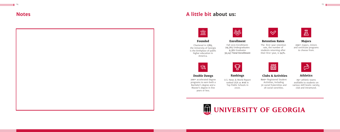**75+** athletic teams avaliable to students on various skill levels: varsity, club and intramural.

### **Clubs & Activities Athletics**

**800+** Registered Student Activities, including 36 social fraternities and 28 social sororities.



U.S. News & World Report ranked UGA as **#16** in Top Public Schools in 2020.

### **Double Dawgs Rankings**

 $\mathbb{Q}$ 

**200+** accelerated degree programs to earn both a Bachelor's degree and a

 $\bigotimes$ 





years or less.



### **Majors**

**250+** majors, minors and certificate programs to choose from.



### **Retention Rates**

The first-year retention rate, the number of students returning after their first-year, is **94%.**



#### **Enrollment**

Fall 2021 Enrollment: **29,765** Undergraduates **9,382** Graduates **39,147 Total Enrollment**



Chartered in **1785**, the University of Georgia is the birthplace of public higher education in America. **Founded**

### **Notes A little bit about us:**